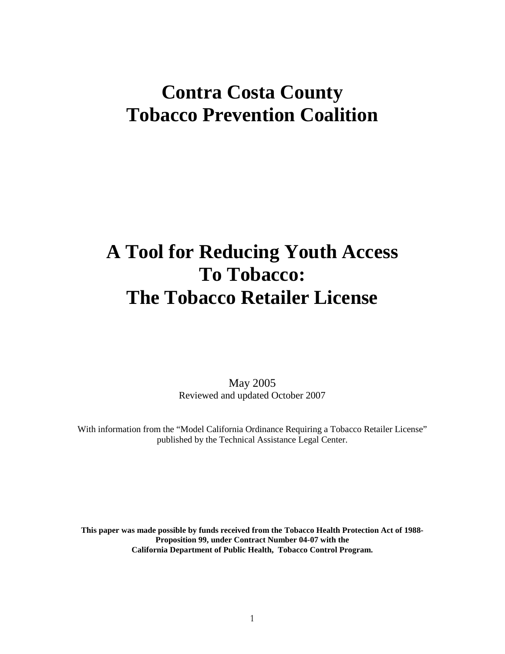## **Contra Costa County Tobacco Prevention Coalition**

# **A Tool for Reducing Youth Access To Tobacco: The Tobacco Retailer License**

May 2005 Reviewed and updated October 2007

With information from the "Model California Ordinance Requiring a Tobacco Retailer License" published by the Technical Assistance Legal Center.

**This paper was made possible by funds received from the Tobacco Health Protection Act of 1988- Proposition 99, under Contract Number 04-07 with the California Department of Public Health, Tobacco Control Program.**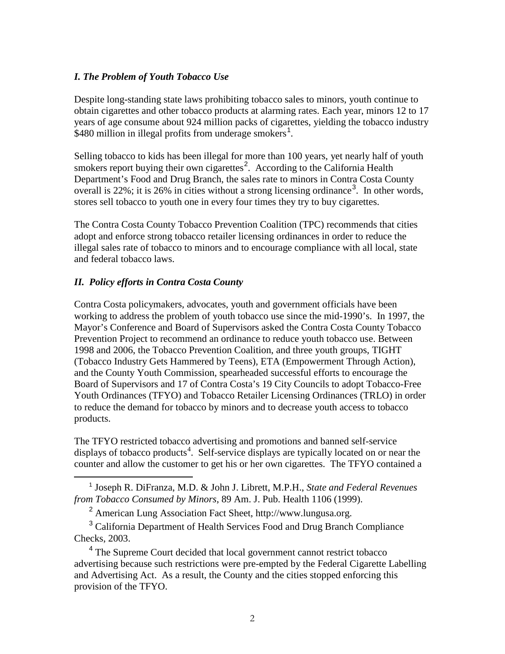#### *I. The Problem of Youth Tobacco Use*

Despite long-standing state laws prohibiting tobacco sales to minors, youth continue to obtain cigarettes and other tobacco products at alarming rates. Each year, minors 12 to 17 years of age consume about 924 million packs of cigarettes, yielding the tobacco industry \$480 million in illegal profits from underage smokers<sup>[1](#page-1-0)</sup>.

Selling tobacco to kids has been illegal for more than 100 years, yet nearly half of youth smokers report buying their own cigarettes<sup>[2](#page-1-1)</sup>. According to the California Health Department's Food and Drug Branch, the sales rate to minors in Contra Costa County overall is 22%; it is 26% in cities without a strong licensing ordinance<sup>[3](#page-1-2)</sup>. In other words, stores sell tobacco to youth one in every four times they try to buy cigarettes.

The Contra Costa County Tobacco Prevention Coalition (TPC) recommends that cities adopt and enforce strong tobacco retailer licensing ordinances in order to reduce the illegal sales rate of tobacco to minors and to encourage compliance with all local, state and federal tobacco laws.

## *II. Policy efforts in Contra Costa County*

 $\overline{a}$ 

Contra Costa policymakers, advocates, youth and government officials have been working to address the problem of youth tobacco use since the mid-1990's. In 1997, the Mayor's Conference and Board of Supervisors asked the Contra Costa County Tobacco Prevention Project to recommend an ordinance to reduce youth tobacco use. Between 1998 and 2006, the Tobacco Prevention Coalition, and three youth groups, TIGHT (Tobacco Industry Gets Hammered by Teens), ETA (Empowerment Through Action), and the County Youth Commission, spearheaded successful efforts to encourage the Board of Supervisors and 17 of Contra Costa's 19 City Councils to adopt Tobacco-Free Youth Ordinances (TFYO) and Tobacco Retailer Licensing Ordinances (TRLO) in order to reduce the demand for tobacco by minors and to decrease youth access to tobacco products.

The TFYO restricted tobacco advertising and promotions and banned self-service displays of tobacco products<sup>[4](#page-1-3)</sup>. Self-service displays are typically located on or near the counter and allow the customer to get his or her own cigarettes. The TFYO contained a

<span id="page-1-0"></span><sup>1</sup> Joseph R. DiFranza, M.D. & John J. Librett, M.P.H., *State and Federal Revenues from Tobacco Consumed by Minors*, 89 Am. J. Pub. Health 1106 (1999).

<sup>2</sup> American Lung Association Fact Sheet, http://www.lungusa.org.

<span id="page-1-2"></span><span id="page-1-1"></span><sup>3</sup> California Department of Health Services Food and Drug Branch Compliance Checks, 2003.

<span id="page-1-3"></span><sup>4</sup> The Supreme Court decided that local government cannot restrict tobacco advertising because such restrictions were pre-empted by the Federal Cigarette Labelling and Advertising Act. As a result, the County and the cities stopped enforcing this provision of the TFYO.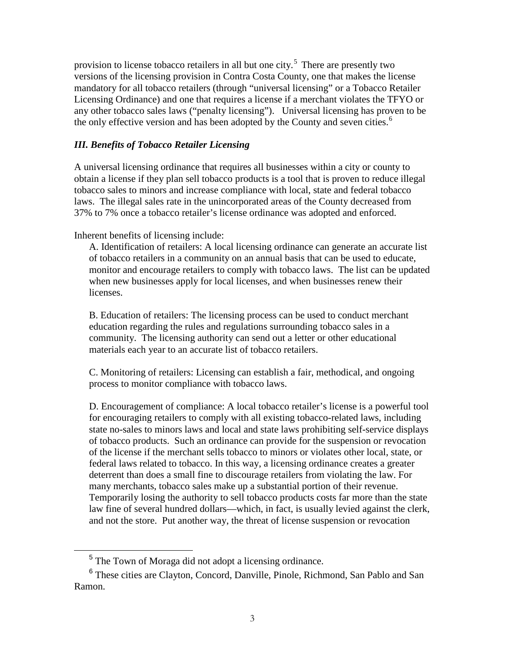provision to license tobacco retailers in all but one city.<sup>[5](#page-2-0)</sup> There are presently two versions of the licensing provision in Contra Costa County, one that makes the license mandatory for all tobacco retailers (through "universal licensing" or a Tobacco Retailer Licensing Ordinance) and one that requires a license if a merchant violates the TFYO or any other tobacco sales laws ("penalty licensing"). Universal licensing has proven to be the only effective version and has been adopted by the County and seven cities.<sup>[6](#page-2-1)</sup>

#### *III. Benefits of Tobacco Retailer Licensing*

A universal licensing ordinance that requires all businesses within a city or county to obtain a license if they plan sell tobacco products is a tool that is proven to reduce illegal tobacco sales to minors and increase compliance with local, state and federal tobacco laws. The illegal sales rate in the unincorporated areas of the County decreased from 37% to 7% once a tobacco retailer's license ordinance was adopted and enforced.

Inherent benefits of licensing include:

A. Identification of retailers: A local licensing ordinance can generate an accurate list of tobacco retailers in a community on an annual basis that can be used to educate, monitor and encourage retailers to comply with tobacco laws. The list can be updated when new businesses apply for local licenses, and when businesses renew their licenses.

B. Education of retailers: The licensing process can be used to conduct merchant education regarding the rules and regulations surrounding tobacco sales in a community. The licensing authority can send out a letter or other educational materials each year to an accurate list of tobacco retailers.

C. Monitoring of retailers: Licensing can establish a fair, methodical, and ongoing process to monitor compliance with tobacco laws.

D. Encouragement of compliance: A local tobacco retailer's license is a powerful tool for encouraging retailers to comply with all existing tobacco-related laws, including state no-sales to minors laws and local and state laws prohibiting self-service displays of tobacco products. Such an ordinance can provide for the suspension or revocation of the license if the merchant sells tobacco to minors or violates other local, state, or federal laws related to tobacco. In this way, a licensing ordinance creates a greater deterrent than does a small fine to discourage retailers from violating the law. For many merchants, tobacco sales make up a substantial portion of their revenue. Temporarily losing the authority to sell tobacco products costs far more than the state law fine of several hundred dollars—which, in fact, is usually levied against the clerk, and not the store. Put another way, the threat of license suspension or revocation

<sup>5</sup> The Town of Moraga did not adopt a licensing ordinance.

<span id="page-2-1"></span><span id="page-2-0"></span><sup>6</sup> These cities are Clayton, Concord, Danville, Pinole, Richmond, San Pablo and San Ramon.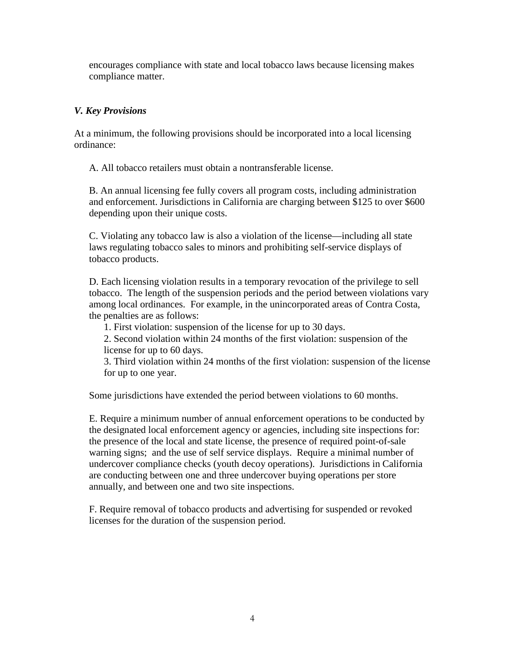encourages compliance with state and local tobacco laws because licensing makes compliance matter.

## *V. Key Provisions*

At a minimum, the following provisions should be incorporated into a local licensing ordinance:

A. All tobacco retailers must obtain a nontransferable license.

B. An annual licensing fee fully covers all program costs, including administration and enforcement. Jurisdictions in California are charging between \$125 to over \$600 depending upon their unique costs.

C. Violating any tobacco law is also a violation of the license—including all state laws regulating tobacco sales to minors and prohibiting self-service displays of tobacco products.

D. Each licensing violation results in a temporary revocation of the privilege to sell tobacco. The length of the suspension periods and the period between violations vary among local ordinances. For example, in the unincorporated areas of Contra Costa, the penalties are as follows:

1. First violation: suspension of the license for up to 30 days.

2. Second violation within 24 months of the first violation: suspension of the license for up to 60 days.

3. Third violation within 24 months of the first violation: suspension of the license for up to one year.

Some jurisdictions have extended the period between violations to 60 months.

E. Require a minimum number of annual enforcement operations to be conducted by the designated local enforcement agency or agencies, including site inspections for: the presence of the local and state license, the presence of required point-of-sale warning signs; and the use of self service displays. Require a minimal number of undercover compliance checks (youth decoy operations). Jurisdictions in California are conducting between one and three undercover buying operations per store annually, and between one and two site inspections.

F. Require removal of tobacco products and advertising for suspended or revoked licenses for the duration of the suspension period.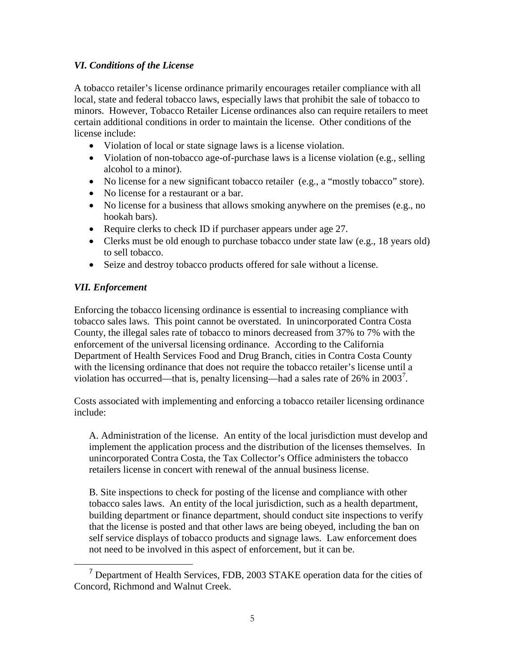## *VI. Conditions of the License*

A tobacco retailer's license ordinance primarily encourages retailer compliance with all local, state and federal tobacco laws, especially laws that prohibit the sale of tobacco to minors. However, Tobacco Retailer License ordinances also can require retailers to meet certain additional conditions in order to maintain the license. Other conditions of the license include:

- Violation of local or state signage laws is a license violation.
- Violation of non-tobacco age-of-purchase laws is a license violation (e.g., selling alcohol to a minor).
- No license for a new significant tobacco retailer (e.g., a "mostly tobacco" store).
- No license for a restaurant or a bar.
- No license for a business that allows smoking anywhere on the premises (e.g., no hookah bars).
- Require clerks to check ID if purchaser appears under age 27.
- Clerks must be old enough to purchase tobacco under state law (e.g., 18 years old) to sell tobacco.
- Seize and destroy tobacco products offered for sale without a license.

### *VII. Enforcement*

Enforcing the tobacco licensing ordinance is essential to increasing compliance with tobacco sales laws. This point cannot be overstated. In unincorporated Contra Costa County, the illegal sales rate of tobacco to minors decreased from 37% to 7% with the enforcement of the universal licensing ordinance. According to the California Department of Health Services Food and Drug Branch, cities in Contra Costa County with the licensing ordinance that does not require the tobacco retailer's license until a violation has occurred—that is, penalty licensing—had a sales rate of 26% in 2003<sup>[7](#page-4-0)</sup>.

Costs associated with implementing and enforcing a tobacco retailer licensing ordinance include:

A. Administration of the license. An entity of the local jurisdiction must develop and implement the application process and the distribution of the licenses themselves. In unincorporated Contra Costa, the Tax Collector's Office administers the tobacco retailers license in concert with renewal of the annual business license.

B. Site inspections to check for posting of the license and compliance with other tobacco sales laws. An entity of the local jurisdiction, such as a health department, building department or finance department, should conduct site inspections to verify that the license is posted and that other laws are being obeyed, including the ban on self service displays of tobacco products and signage laws. Law enforcement does not need to be involved in this aspect of enforcement, but it can be.

<span id="page-4-0"></span><sup>7</sup> Department of Health Services, FDB, 2003 STAKE operation data for the cities of Concord, Richmond and Walnut Creek.